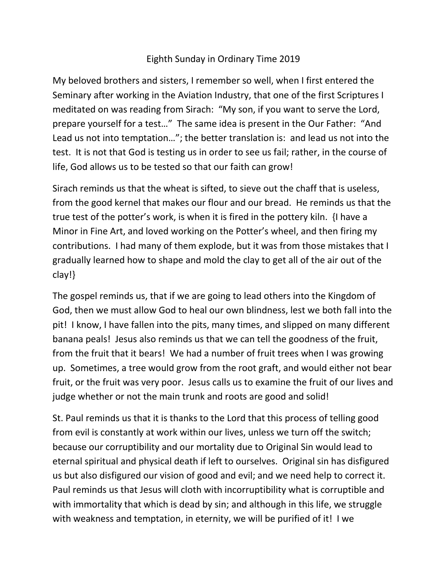## Eighth Sunday in Ordinary Time 2019

My beloved brothers and sisters, I remember so well, when I first entered the Seminary after working in the Aviation Industry, that one of the first Scriptures I meditated on was reading from Sirach: "My son, if you want to serve the Lord, prepare yourself for a test…" The same idea is present in the Our Father: "And Lead us not into temptation…"; the better translation is: and lead us not into the test. It is not that God is testing us in order to see us fail; rather, in the course of life, God allows us to be tested so that our faith can grow!

Sirach reminds us that the wheat is sifted, to sieve out the chaff that is useless, from the good kernel that makes our flour and our bread. He reminds us that the true test of the potter's work, is when it is fired in the pottery kiln. {I have a Minor in Fine Art, and loved working on the Potter's wheel, and then firing my contributions. I had many of them explode, but it was from those mistakes that I gradually learned how to shape and mold the clay to get all of the air out of the clay!}

The gospel reminds us, that if we are going to lead others into the Kingdom of God, then we must allow God to heal our own blindness, lest we both fall into the pit! I know, I have fallen into the pits, many times, and slipped on many different banana peals! Jesus also reminds us that we can tell the goodness of the fruit, from the fruit that it bears! We had a number of fruit trees when I was growing up. Sometimes, a tree would grow from the root graft, and would either not bear fruit, or the fruit was very poor. Jesus calls us to examine the fruit of our lives and judge whether or not the main trunk and roots are good and solid!

St. Paul reminds us that it is thanks to the Lord that this process of telling good from evil is constantly at work within our lives, unless we turn off the switch; because our corruptibility and our mortality due to Original Sin would lead to eternal spiritual and physical death if left to ourselves. Original sin has disfigured us but also disfigured our vision of good and evil; and we need help to correct it. Paul reminds us that Jesus will cloth with incorruptibility what is corruptible and with immortality that which is dead by sin; and although in this life, we struggle with weakness and temptation, in eternity, we will be purified of it! I we